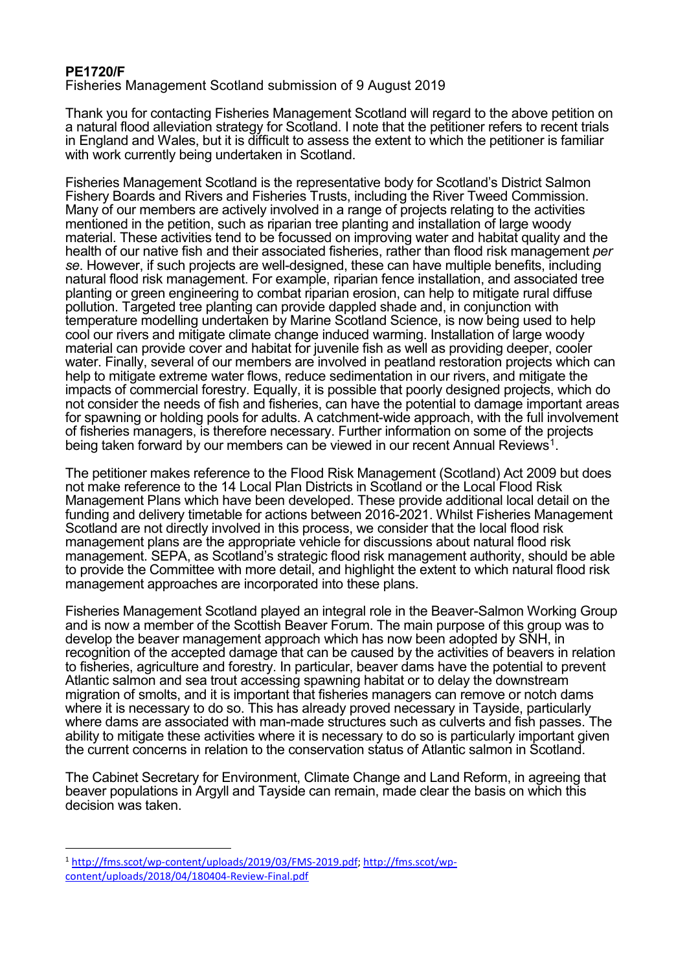## **PE1720/F**

Fisheries Management Scotland submission of 9 August 2019

Thank you for contacting Fisheries Management Scotland will regard to the above petition on a natural flood alleviation strategy for Scotland. I note that the petitioner refers to recent trials in England and Wales, but it is difficult to assess the extent to which the petitioner is familiar with work currently being undertaken in Scotland.

Fisheries Management Scotland is the representative body for Scotland's District Salmon Fishery Boards and Rivers and Fisheries Trusts, including the River Tweed Commission. Many of our members are actively involved in a range of projects relating to the activities mentioned in the petition, such as riparian tree planting and installation of large woody material. These activities tend to be focussed on improving water and habitat quality and the health of our native fish and their associated fisheries, rather than flood risk management *per se*. However, if such projects are well-designed, these can have multiple benefits, including natural flood risk management. For example, riparian fence installation, and associated tree planting or green engineering to combat riparian erosion, can help to mitigate rural diffuse pollution. Targeted tree planting can provide dappled shade and, in conjunction with temperature modelling undertaken by Marine Scotland Science, is now being used to help cool our rivers and mitigate climate change induced warming. Installation of large woody material can provide cover and habitat for juvenile fish as well as providing deeper, cooler water. Finally, several of our members are involved in peatland restoration projects which can help to mitigate extreme water flows, reduce sedimentation in our rivers, and mitigate the impacts of commercial forestry. Equally, it is possible that poorly designed projects, which do not consider the needs of fish and fisheries, can have the potential to damage important areas for spawning or holding pools for adults. A catchment-wide approach, with the full involvement of fisheries managers, is therefore necessary. Further information on some of the projects being taken forward by our members can be viewed in our recent Annual Reviews<sup>[1](#page-0-0)</sup>.

The petitioner makes reference to the Flood Risk Management (Scotland) Act 2009 but does not make reference to the 14 Local Plan Districts in Scotland or the Local Flood Risk Management Plans which have been developed. These provide additional local detail on the funding and delivery timetable for actions between 2016-2021. Whilst Fisheries Management Scotland are not directly involved in this process, we consider that the local flood risk management plans are the appropriate vehicle for discussions about natural flood risk management. SEPA, as Scotland's strategic flood risk management authority, should be able to provide the Committee with more detail, and highlight the extent to which natural flood risk management approaches are incorporated into these plans.

Fisheries Management Scotland played an integral role in the Beaver-Salmon Working Group and is now a member of the Scottish Beaver Forum. The main purpose of this group was to develop the beaver management approach which has now been adopted by SNH, in recognition of the accepted damage that can be caused by the activities of beavers in relation to fisheries, agriculture and forestry. In particular, beaver dams have the potential to prevent Atlantic salmon and sea trout accessing spawning habitat or to delay the downstream migration of smolts, and it is important that fisheries managers can remove or notch dams where it is necessary to do so. This has already proved necessary in Tayside, particularly where dams are associated with man-made structures such as culverts and fish passes. The ability to mitigate these activities where it is necessary to do so is particularly important given the current concerns in relation to the conservation status of Atlantic salmon in Scotland.

The Cabinet Secretary for Environment, Climate Change and Land Reform, in agreeing that beaver populations in Argyll and Tayside can remain, made clear the basis on which this decision was taken.

<span id="page-0-0"></span> <sup>1</sup> [http://fms.scot/wp-content/uploads/2019/03/FMS-2019.pdf;](http://fms.scot/wp-content/uploads/2019/03/FMS-2019.pdf) [http://fms.scot/wp](http://fms.scot/wp-content/uploads/2018/04/180404-Review-Final.pdf)[content/uploads/2018/04/180404-Review-Final.pdf](http://fms.scot/wp-content/uploads/2018/04/180404-Review-Final.pdf)